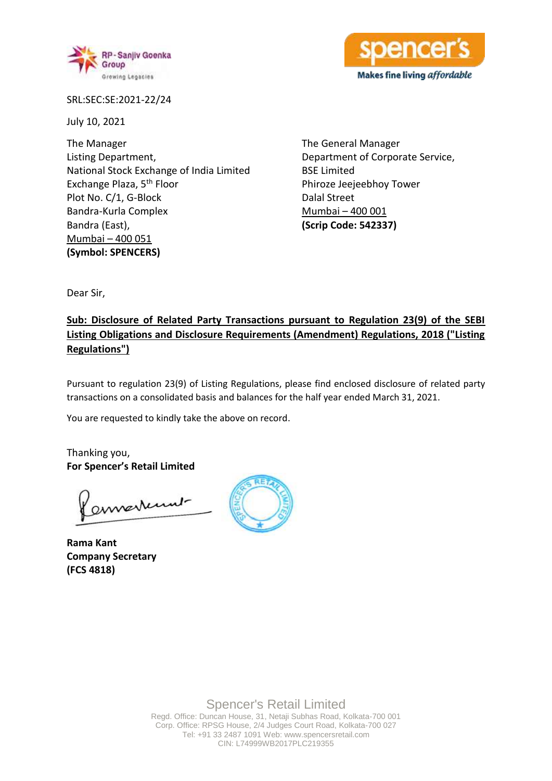

SRL:SEC:SE:2021-22/24

July 10, 2021

The Manager Listing Department, National Stock Exchange of India Limited Exchange Plaza, 5th Floor Plot No. C/1, G-Block Bandra-Kurla Complex Bandra (East), Mumbai – 400 051 **(Symbol: SPENCERS)**

The General Manager Department of Corporate Service, BSE Limited Phiroze Jeejeebhoy Tower Dalal Street Mumbai – 400 001 **(Scrip Code: 542337)**

Makes fine living affordable

Dear Sir,

# **Sub: Disclosure of Related Party Transactions pursuant to Regulation 23(9) of the SEBI Listing Obligations and Disclosure Requirements (Amendment) Regulations, 2018 ("Listing Regulations")**

Pursuant to regulation 23(9) of Listing Regulations, please find enclosed disclosure of related party transactions on a consolidated basis and balances for the half year ended March 31, 2021.

You are requested to kindly take the above on record.

Thanking you, **For Spencer's Retail Limited**

ennestent

**Rama Kant Company Secretary (FCS 4818)**